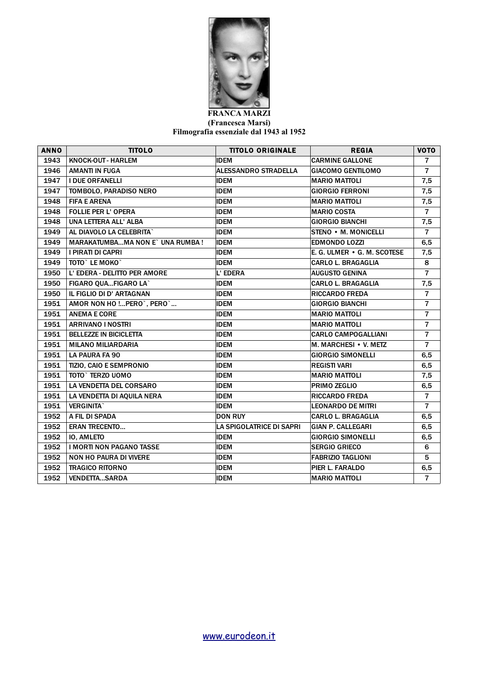

## **FRANCA MARZI (Francesca Marsi) Filmografia essenziale dal 1943 al 1952**

| <b>ANNO</b> | <b>TITOLO</b>                           | <b>TITOLO ORIGINALE</b>     | <b>REGIA</b>                | <b>VOTO</b>    |
|-------------|-----------------------------------------|-----------------------------|-----------------------------|----------------|
| 1943        | <b>KNOCK-OUT - HARLEM</b>               | <b>IDEM</b>                 | <b>CARMINE GALLONE</b>      | $\overline{7}$ |
| 1946        | <b>AMANTI IN FUGA</b>                   | <b>ALESSANDRO STRADELLA</b> | <b>GIACOMO GENTILOMO</b>    | $\overline{7}$ |
| 1947        | <b>I DUE ORFANELLI</b>                  | <b>IDEM</b>                 | <b>MARIO MATTOLI</b>        | 7,5            |
| 1947        | TOMBOLO, PARADISO NERO                  | <b>IDEM</b>                 | <b>GIORGIO FERRONI</b>      | 7,5            |
| 1948        | <b>FIFA E ARENA</b>                     | <b>IDEM</b>                 | <b>MARIO MATTOLI</b>        | 7,5            |
| 1948        | <b>FOLLIE PER L' OPERA</b>              | <b>IDEM</b>                 | <b>MARIO COSTA</b>          | $\overline{7}$ |
| 1948        | UNA LETTERA ALL' ALBA                   | <b>IDEM</b>                 | <b>GIORGIO BIANCHI</b>      | 7,5            |
| 1949        | AL DIAVOLO LA CELEBRITA`                | <b>IDEM</b>                 | STENO • M. MONICELLI        | $\overline{7}$ |
| 1949        | <b>MARAKATUMBAMA NON E` UNA RUMBA !</b> | <b>IDEM</b>                 | <b>EDMONDO LOZZI</b>        | 6,5            |
| 1949        | I PIRATI DI CAPRI                       | <b>IDEM</b>                 | E. G. ULMER • G. M. SCOTESE | 7,5            |
| 1949        | TOTO` LE MOKO`                          | <b>IDEM</b>                 | CARLO L. BRAGAGLIA          | 8              |
| 1950        | L' EDERA - DELITTO PER AMORE            | L' EDERA                    | <b>AUGUSTO GENINA</b>       | $\overline{7}$ |
| 1950        | FIGARO QUAFIGARO LA`                    | <b>IDEM</b>                 | <b>CARLO L. BRAGAGLIA</b>   | 7,5            |
| 1950        | IL FIGLIO DI D' ARTAGNAN                | <b>IDEM</b>                 | <b>RICCARDO FREDA</b>       | $\overline{7}$ |
| 1951        | AMOR NON HO ! PERO`, PERO`              | <b>IDEM</b>                 | <b>GIORGIO BIANCHI</b>      | $\overline{7}$ |
| 1951        | <b>ANEMA E CORE</b>                     | <b>IDEM</b>                 | <b>MARIO MATTOLI</b>        | $\overline{7}$ |
| 1951        | <b>ARRIVANO I NOSTRI</b>                | <b>IDEM</b>                 | <b>MARIO MATTOLI</b>        | $\overline{7}$ |
| 1951        | <b>BELLEZZE IN BICICLETTA</b>           | <b>IDEM</b>                 | <b>CARLO CAMPOGALLIANI</b>  | $\overline{7}$ |
| 1951        | <b>MILANO MILIARDARIA</b>               | <b>IDEM</b>                 | M. MARCHESI • V. METZ       | $\overline{7}$ |
| 1951        | <b>LA PAURA FA 90</b>                   | <b>IDEM</b>                 | <b>GIORGIO SIMONELLI</b>    | 6, 5           |
| 1951        | TIZIO, CAIO E SEMPRONIO                 | <b>IDEM</b>                 | <b>REGISTI VARI</b>         | 6,5            |
| 1951        | TOTO` TERZO UOMO                        | <b>IDEM</b>                 | <b>MARIO MATTOLI</b>        | 7,5            |
| 1951        | <b>LA VENDETTA DEL CORSARO</b>          | <b>IDEM</b>                 | PRIMO ZEGLIO                | 6,5            |
| 1951        | LA VENDETTA DI AQUILA NERA              | <b>IDEM</b>                 | <b>RICCARDO FREDA</b>       | $\overline{7}$ |
| 1951        | <b>VERGINITA</b>                        | <b>IDEM</b>                 | <b>LEONARDO DE MITRI</b>    | $\overline{7}$ |
| 1952        | A FIL DI SPADA                          | <b>DON RUY</b>              | <b>CARLO L. BRAGAGLIA</b>   | 6,5            |
| 1952        | <b>ERAN TRECENTO</b>                    | LA SPIGOLATRICE DI SAPRI    | <b>GIAN P. CALLEGARI</b>    | 6, 5           |
| 1952        | <b>IO, AMLETO</b>                       | <b>IDEM</b>                 | <b>GIORGIO SIMONELLI</b>    | 6, 5           |
| 1952        | <b>I MORTI NON PAGANO TASSE</b>         | <b>IDEM</b>                 | <b>SERGIO GRIECO</b>        | 6              |
| 1952        | <b>NON HO PAURA DI VIVERE</b>           | <b>IDEM</b>                 | <b>FABRIZIO TAGLIONI</b>    | 5              |
| 1952        | <b>TRAGICO RITORNO</b>                  | <b>IDEM</b>                 | PIER L. FARALDO             | 6,5            |
| 1952        | <b>VENDETTASARDA</b>                    | <b>IDEM</b>                 | <b>MARIO MATTOLI</b>        | $\overline{7}$ |